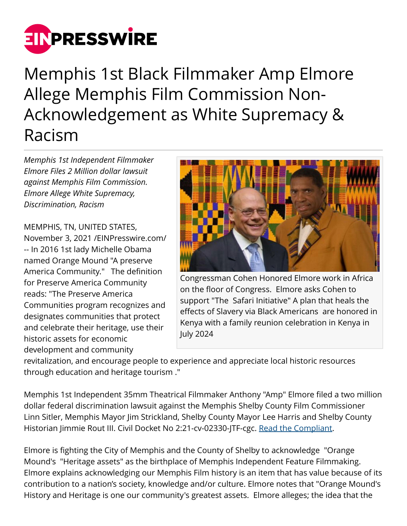

Memphis 1st Black Filmmaker Amp Elmore Allege Memphis Film Commission Non-Acknowledgement as White Supremacy & Racism

*Memphis 1st Independent Filmmaker Elmore Files 2 Million dollar lawsuit against Memphis Film Commission. Elmore Allege White Supremacy, Discrimination, Racism*

MEMPHIS, TN, UNITED STATES, November 3, 2021 /[EINPresswire.com/](http://www.einpresswire.com) -- In 2016 1st lady Michelle Obama named Orange Mound "A preserve America Community." The definition for Preserve America Community reads: "The Preserve America Communities program recognizes and designates communities that protect and celebrate their heritage, use their historic assets for economic development and community



Congressman Cohen Honored Elmore work in Africa on the floor of Congress. Elmore asks Cohen to support "The Safari Initiative" A plan that heals the effects of Slavery via Black Americans are honored in Kenya with a family reunion celebration in Kenya in July 2024

revitalization, and encourage people to experience and appreciate local historic resources through education and heritage tourism ."

Memphis 1st Independent 35mm Theatrical Filmmaker Anthony "Amp" Elmore filed a two million dollar federal discrimination lawsuit against the Memphis Shelby County Film Commissioner Linn Sitler, Memphis Mayor Jim Strickland, Shelby County Mayor Lee Harris and Shelby County Historian Jimmie Rout III. Civil Docket No 2:21-cv-02330-JTF-cgc. [Read the Compliant.](https://drive.google.com/file/d/1Ys42Rm1M-LO0FkCuMUZNC74T0OPyk3Qh/view?usp=sharing)

Elmore is fighting the City of Memphis and the County of Shelby to acknowledge "Orange Mound's "Heritage assets" as the birthplace of Memphis Independent Feature Filmmaking. Elmore explains acknowledging our Memphis Film history is an item that has value because of its contribution to a nation's society, knowledge and/or culture. Elmore notes that "Orange Mound's History and Heritage is one our community's greatest assets. Elmore alleges; the idea that the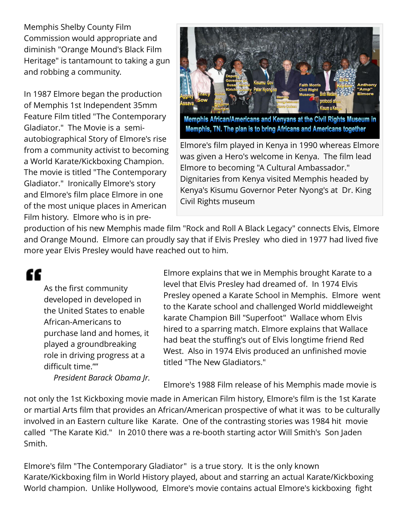Memphis Shelby County Film Commission would appropriate and diminish "Orange Mound's Black Film Heritage" is tantamount to taking a gun and robbing a community.

In 1987 Elmore began the production of Memphis 1st Independent 35mm Feature Film titled "The Contemporary Gladiator." The Movie is a semiautobiographical Story of Elmore's rise from a community activist to becoming a World Karate/Kickboxing Champion. The movie is titled "The Contemporary Gladiator." Ironically Elmore's story and Elmore's film place Elmore in one of the most unique places in American Film history. Elmore who is in pre-



Elmore's film played in Kenya in 1990 whereas Elmore was given a Hero's welcome in Kenya. The film lead Elmore to becoming "A Cultural Ambassador." Dignitaries from Kenya visited Memphis headed by Kenya's Kisumu Governor Peter Nyong's at Dr. King Civil Rights museum

production of his new Memphis made film "Rock and Roll A Black Legacy" connects Elvis, Elmore and Orange Mound. Elmore can proudly say that if Elvis Presley who died in 1977 had lived five more year Elvis Presley would have reached out to him.

££

As the first community developed in developed in the United States to enable African-Americans to purchase land and homes, it played a groundbreaking role in driving progress at a difficult time.""

*President Barack Obama Jr.*

Elmore explains that we in Memphis brought Karate to a level that Elvis Presley had dreamed of. In 1974 Elvis Presley opened a Karate School in Memphis. Elmore went to the Karate school and challenged World middleweight karate Champion Bill "Superfoot" Wallace whom Elvis hired to a sparring match. Elmore explains that Wallace had beat the stuffing's out of Elvis longtime friend Red West. Also in 1974 Elvis produced an unfinished movie titled "The New Gladiators."

Elmore's 1988 Film release of his Memphis made movie is

not only the 1st Kickboxing movie made in American Film history, Elmore's film is the 1st Karate or martial Arts film that provides an African/American prospective of what it was to be culturally involved in an Eastern culture like Karate. One of the contrasting stories was 1984 hit movie called "The Karate Kid." In 2010 there was a re-booth starting actor Will Smith's Son Jaden Smith.

Elmore's film "The Contemporary Gladiator" is a true story. It is the only known Karate/Kickboxing film in World History played, about and starring an actual Karate/Kickboxing World champion. Unlike Hollywood, Elmore's movie contains actual Elmore's kickboxing fight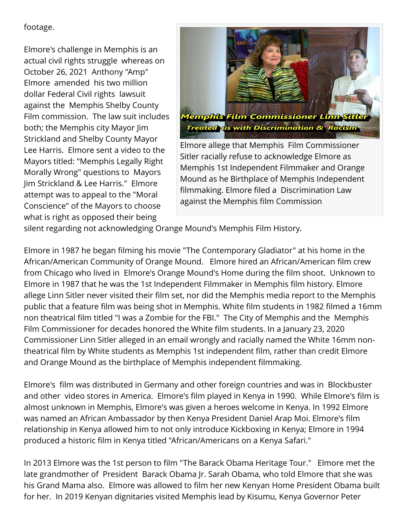footage.

Elmore's challenge in Memphis is an actual civil rights struggle whereas on October 26, 2021 Anthony "Amp" Elmore amended his two million dollar Federal Civil rights lawsuit against the Memphis Shelby County Film commission. The law suit includes both; the Memphis city Mayor Jim Strickland and Shelby County Mayor Lee Harris. Elmore sent a video to the Mayors titled: "Memphis Legally Right Morally Wrong" questions to Mayors Jim Strickland & Lee Harris." Elmore attempt was to appeal to the "Moral Conscience" of the Mayors to choose what is right as opposed their being



Elmore allege that Memphis Film Commissioner Sitler racially refuse to acknowledge Elmore as Memphis 1st Independent Filmmaker and Orange Mound as he Birthplace of Memphis Independent filmmaking. Elmore filed a Discrimination Law against the Memphis film Commission

silent regarding not acknowledging Orange Mound's Memphis Film History.

Elmore in 1987 he began filming his movie "The Contemporary Gladiator" at his home in the African/American Community of Orange Mound. Elmore hired an African/American film crew from Chicago who lived in Elmore's Orange Mound's Home during the film shoot. Unknown to Elmore in 1987 that he was the 1st Independent Filmmaker in Memphis film history. Elmore allege Linn Sitler never visited their film set, nor did the Memphis media report to the Memphis public that a feature film was being shot in Memphis. White film students in 1982 filmed a 16mm non theatrical film titled "I was a Zombie for the FBI." The City of Memphis and the Memphis Film Commissioner for decades honored the White film students. In a January 23, 2020 Commissioner Linn Sitler alleged in an email wrongly and racially named the White 16mm nontheatrical film by White students as Memphis 1st independent film, rather than credit Elmore and Orange Mound as the birthplace of Memphis independent filmmaking.

Elmore's film was distributed in Germany and other foreign countries and was in Blockbuster and other video stores in America. Elmore's film played in Kenya in 1990. While Elmore's film is almost unknown in Memphis, Elmore's was given a heroes welcome in Kenya. In 1992 Elmore was named an African Ambassador by then Kenya President Daniel Arap Moi. Elmore's film relationship in Kenya allowed him to not only introduce Kickboxing in Kenya; Elmore in 1994 produced a historic film in Kenya titled "African/Americans on a Kenya Safari."

In 2013 Elmore was the 1st person to film "The Barack Obama Heritage Tour." Elmore met the late grandmother of President Barack Obama Jr. Sarah Obama, who told Elmore that she was his Grand Mama also. Elmore was allowed to film her new Kenyan Home President Obama built for her. In 2019 Kenyan dignitaries visited Memphis lead by Kisumu, Kenya Governor Peter